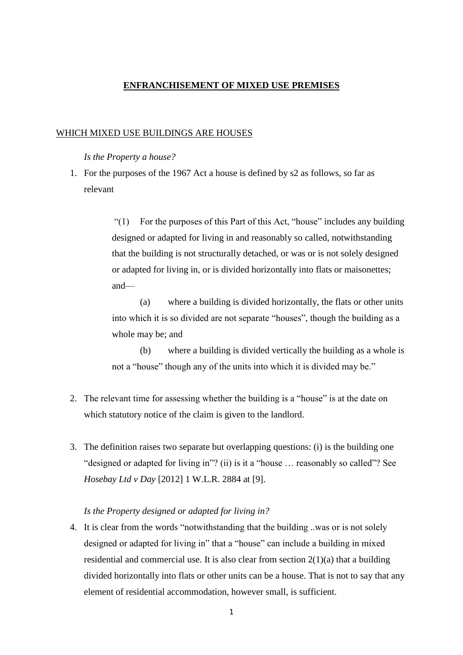# **ENFRANCHISEMENT OF MIXED USE PREMISES**

## WHICH MIXED USE BUILDINGS ARE HOUSES

### *Is the Property a house?*

1. For the purposes of the 1967 Act a house is defined by s2 as follows, so far as relevant

> "(1) For the purposes of this Part of this Act, "house" includes any building designed or adapted for living in and reasonably so called, notwithstanding that the building is not structurally detached, or was or is not solely designed or adapted for living in, or is divided horizontally into flats or maisonettes; and—

> (a) where a building is divided horizontally, the flats or other units into which it is so divided are not separate "houses", though the building as a whole may be; and

> (b) where a building is divided vertically the building as a whole is not a "house" though any of the units into which it is divided may be."

- 2. The relevant time for assessing whether the building is a "house" is at the date on which statutory notice of the claim is given to the landlord.
- 3. The definition raises two separate but overlapping questions: (i) is the building one "designed or adapted for living in"? (ii) is it a "house … reasonably so called"? See *Hosebay Ltd v Day* [2012] 1 W.L.R. 2884 at [9].

### *Is the Property designed or adapted for living in?*

4. It is clear from the words "notwithstanding that the building ..was or is not solely designed or adapted for living in" that a "house" can include a building in mixed residential and commercial use. It is also clear from section 2(1)(a) that a building divided horizontally into flats or other units can be a house. That is not to say that any element of residential accommodation, however small, is sufficient.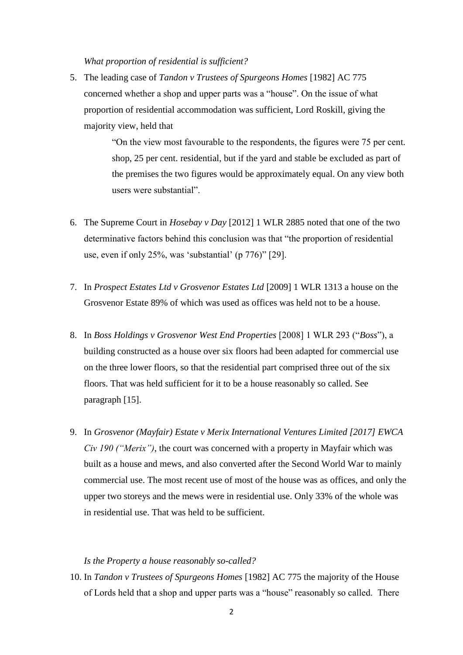#### *What proportion of residential is sufficient?*

5. The leading case of *Tandon v Trustees of Spurgeons Homes* [1982] AC 775 concerned whether a shop and upper parts was a "house". On the issue of what proportion of residential accommodation was sufficient, Lord Roskill, giving the majority view, held that

> "On the view most favourable to the respondents, the figures were 75 per cent. shop, 25 per cent. residential, but if the yard and stable be excluded as part of the premises the two figures would be approximately equal. On any view both users were substantial".

- 6. The Supreme Court in *Hosebay v Day* [2012] 1 WLR 2885 noted that one of the two determinative factors behind this conclusion was that "the proportion of residential use, even if only 25%, was 'substantial' (p 776)" [29].
- 7. In *Prospect Estates Ltd v Grosvenor Estates Ltd* [2009] 1 WLR 1313 a house on the Grosvenor Estate 89% of which was used as offices was held not to be a house.
- 8. In *Boss Holdings v Grosvenor West End Properties* [2008] 1 WLR 293 ("*Boss*"), a building constructed as a house over six floors had been adapted for commercial use on the three lower floors, so that the residential part comprised three out of the six floors. That was held sufficient for it to be a house reasonably so called. See paragraph [15].
- 9. In *Grosvenor (Mayfair) Estate v Merix International Ventures Limited [2017] EWCA Civ 190 ("Merix")*, the court was concerned with a property in Mayfair which was built as a house and mews, and also converted after the Second World War to mainly commercial use. The most recent use of most of the house was as offices, and only the upper two storeys and the mews were in residential use. Only 33% of the whole was in residential use. That was held to be sufficient.

## *Is the Property a house reasonably so-called?*

10. In *Tandon v Trustees of Spurgeons Homes* [1982] AC 775 the majority of the House of Lords held that a shop and upper parts was a "house" reasonably so called. There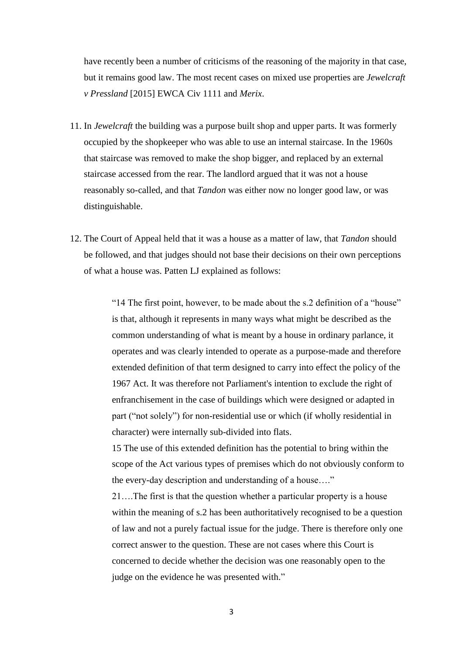have recently been a number of criticisms of the reasoning of the majority in that case, but it remains good law. The most recent cases on mixed use properties are *Jewelcraft v Pressland* [2015] EWCA Civ 1111 and *Merix*.

- 11. In *Jewelcraft* the building was a purpose built shop and upper parts. It was formerly occupied by the shopkeeper who was able to use an internal staircase. In the 1960s that staircase was removed to make the shop bigger, and replaced by an external staircase accessed from the rear. The landlord argued that it was not a house reasonably so-called, and that *Tandon* was either now no longer good law, or was distinguishable.
- 12. The Court of Appeal held that it was a house as a matter of law, that *Tandon* should be followed, and that judges should not base their decisions on their own perceptions of what a house was. Patten LJ explained as follows:

"14 The first point, however, to be made about the s.2 definition of a "house" is that, although it represents in many ways what might be described as the common understanding of what is meant by a house in ordinary parlance, it operates and was clearly intended to operate as a purpose-made and therefore extended definition of that term designed to carry into effect the policy of the 1967 Act. It was therefore not Parliament's intention to exclude the right of enfranchisement in the case of buildings which were designed or adapted in part ("not solely") for non-residential use or which (if wholly residential in character) were internally sub-divided into flats.

15 The use of this extended definition has the potential to bring within the scope of the Act various types of premises which do not obviously conform to the every-day description and understanding of a house…."

21….The first is that the question whether a particular property is a house within the meaning of s.2 has been authoritatively recognised to be a question of law and not a purely factual issue for the judge. There is therefore only one correct answer to the question. These are not cases where this Court is concerned to decide whether the decision was one reasonably open to the judge on the evidence he was presented with."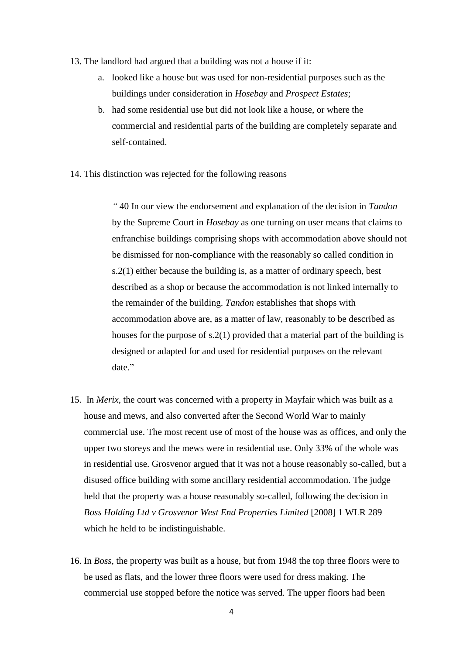- 13. The landlord had argued that a building was not a house if it:
	- a. looked like a house but was used for non-residential purposes such as the buildings under consideration in *Hosebay* and *Prospect Estates*;
	- b. had some residential use but did not look like a house, or where the commercial and residential parts of the building are completely separate and self-contained.
- 14. This distinction was rejected for the following reasons

*"* 40 In our view the endorsement and explanation of the decision in *Tandon* by the Supreme Court in *Hosebay* as one turning on user means that claims to enfranchise buildings comprising shops with accommodation above should not be dismissed for non-compliance with the reasonably so called condition in s.2(1) either because the building is, as a matter of ordinary speech, best described as a shop or because the accommodation is not linked internally to the remainder of the building. *Tandon* establishes that shops with accommodation above are, as a matter of law, reasonably to be described as houses for the purpose of s.2(1) provided that a material part of the building is designed or adapted for and used for residential purposes on the relevant date."

- 15. In *Merix*, the court was concerned with a property in Mayfair which was built as a house and mews, and also converted after the Second World War to mainly commercial use. The most recent use of most of the house was as offices, and only the upper two storeys and the mews were in residential use. Only 33% of the whole was in residential use. Grosvenor argued that it was not a house reasonably so-called, but a disused office building with some ancillary residential accommodation. The judge held that the property was a house reasonably so-called, following the decision in *Boss Holding Ltd v Grosvenor West End Properties Limited* [2008] 1 WLR 289 which he held to be indistinguishable.
- 16. In *Boss*, the property was built as a house, but from 1948 the top three floors were to be used as flats, and the lower three floors were used for dress making. The commercial use stopped before the notice was served. The upper floors had been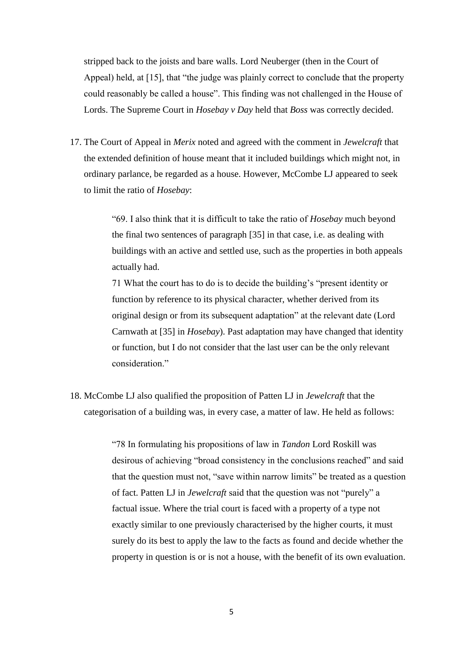stripped back to the joists and bare walls. Lord Neuberger (then in the Court of Appeal) held, at [15], that "the judge was plainly correct to conclude that the property could reasonably be called a house". This finding was not challenged in the House of Lords. The Supreme Court in *Hosebay v Day* held that *Boss* was correctly decided.

17. The Court of Appeal in *Merix* noted and agreed with the comment in *Jewelcraft* that the extended definition of house meant that it included buildings which might not, in ordinary parlance, be regarded as a house. However, McCombe LJ appeared to seek to limit the ratio of *Hosebay*:

> "69. I also think that it is difficult to take the ratio of *Hosebay* much beyond the final two sentences of paragraph [35] in that case, i.e. as dealing with buildings with an active and settled use, such as the properties in both appeals actually had.

> 71 What the court has to do is to decide the building's "present identity or function by reference to its physical character, whether derived from its original design or from its subsequent adaptation" at the relevant date (Lord Carnwath at [35] in *Hosebay*). Past adaptation may have changed that identity or function, but I do not consider that the last user can be the only relevant consideration."

18. McCombe LJ also qualified the proposition of Patten LJ in *Jewelcraft* that the categorisation of a building was, in every case, a matter of law. He held as follows:

> "78 In formulating his propositions of law in *Tandon* Lord Roskill was desirous of achieving "broad consistency in the conclusions reached" and said that the question must not, "save within narrow limits" be treated as a question of fact. Patten LJ in *Jewelcraft* said that the question was not "purely" a factual issue. Where the trial court is faced with a property of a type not exactly similar to one previously characterised by the higher courts, it must surely do its best to apply the law to the facts as found and decide whether the property in question is or is not a house, with the benefit of its own evaluation.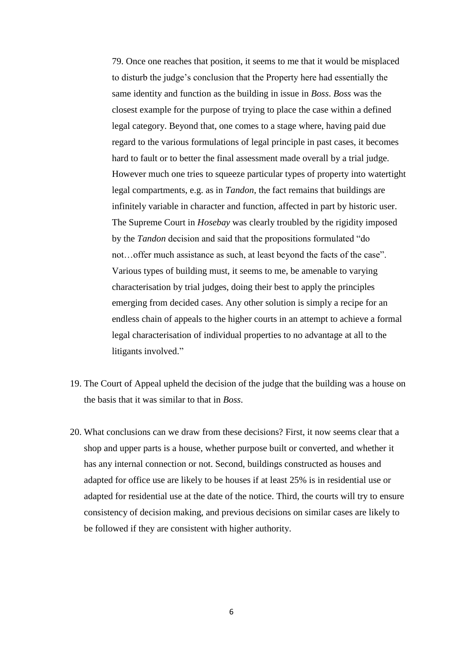79. Once one reaches that position, it seems to me that it would be misplaced to disturb the judge's conclusion that the Property here had essentially the same identity and function as the building in issue in *Boss*. *Boss* was the closest example for the purpose of trying to place the case within a defined legal category. Beyond that, one comes to a stage where, having paid due regard to the various formulations of legal principle in past cases, it becomes hard to fault or to better the final assessment made overall by a trial judge. However much one tries to squeeze particular types of property into watertight legal compartments, e.g. as in *Tandon*, the fact remains that buildings are infinitely variable in character and function, affected in part by historic user. The Supreme Court in *Hosebay* was clearly troubled by the rigidity imposed by the *Tandon* decision and said that the propositions formulated "do not…offer much assistance as such, at least beyond the facts of the case". Various types of building must, it seems to me, be amenable to varying characterisation by trial judges, doing their best to apply the principles emerging from decided cases. Any other solution is simply a recipe for an endless chain of appeals to the higher courts in an attempt to achieve a formal legal characterisation of individual properties to no advantage at all to the litigants involved."

- 19. The Court of Appeal upheld the decision of the judge that the building was a house on the basis that it was similar to that in *Boss*.
- 20. What conclusions can we draw from these decisions? First, it now seems clear that a shop and upper parts is a house, whether purpose built or converted, and whether it has any internal connection or not. Second, buildings constructed as houses and adapted for office use are likely to be houses if at least 25% is in residential use or adapted for residential use at the date of the notice. Third, the courts will try to ensure consistency of decision making, and previous decisions on similar cases are likely to be followed if they are consistent with higher authority.

6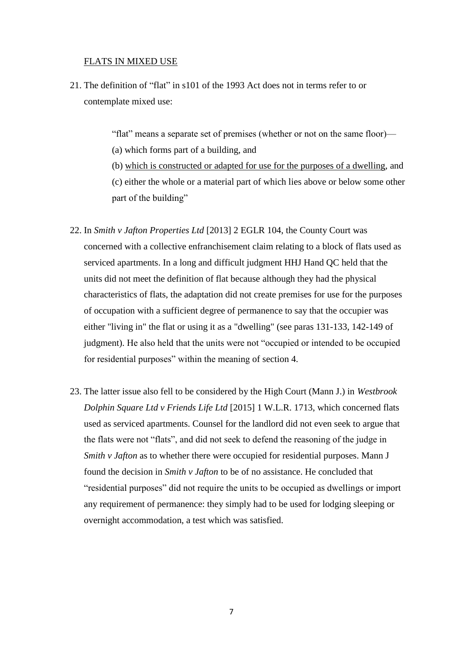### FLATS IN MIXED USE

21. The definition of "flat" in s101 of the 1993 Act does not in terms refer to or contemplate mixed use:

"flat" means a separate set of premises (whether or not on the same floor)—

(a) which forms part of a building, and

(b) which is constructed or adapted for use for the purposes of a dwelling, and (c) either the whole or a material part of which lies above or below some other part of the building"

- 22. In *Smith v Jafton Properties Ltd* [2013] 2 EGLR 104, the County Court was concerned with a collective enfranchisement claim relating to a block of flats used as serviced apartments. In a long and difficult judgment HHJ Hand QC held that the units did not meet the definition of flat because although they had the physical characteristics of flats, the adaptation did not create premises for use for the purposes of occupation with a sufficient degree of permanence to say that the occupier was either "living in" the flat or using it as a "dwelling" (see paras 131-133, 142-149 of judgment). He also held that the units were not "occupied or intended to be occupied for residential purposes" within the meaning of section 4.
- 23. The latter issue also fell to be considered by the High Court (Mann J.) in *Westbrook Dolphin Square Ltd v Friends Life Ltd* [2015] 1 W.L.R. 1713, which concerned flats used as serviced apartments. Counsel for the landlord did not even seek to argue that the flats were not "flats", and did not seek to defend the reasoning of the judge in *Smith v Jafton* as to whether there were occupied for residential purposes. Mann J found the decision in *Smith v Jafton* to be of no assistance. He concluded that "residential purposes" did not require the units to be occupied as dwellings or import any requirement of permanence: they simply had to be used for lodging sleeping or overnight accommodation, a test which was satisfied.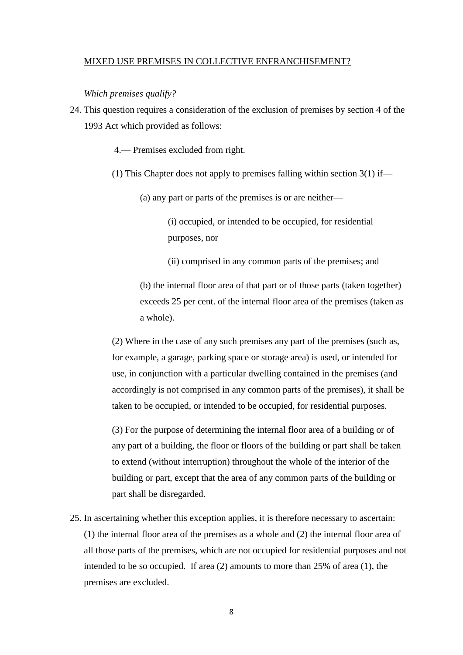#### MIXED USE PREMISES IN COLLECTIVE ENFRANCHISEMENT?

*Which premises qualify?*

24. This question requires a consideration of the exclusion of premises by section 4 of the 1993 Act which provided as follows:

4.— Premises excluded from right.

(1) This Chapter does not apply to premises falling within section 3(1) if—

(a) any part or parts of the premises is or are neither—

(i) occupied, or intended to be occupied, for residential purposes, nor

(ii) comprised in any common parts of the premises; and

(b) the internal floor area of that part or of those parts (taken together) exceeds 25 per cent. of the internal floor area of the premises (taken as a whole).

(2) Where in the case of any such premises any part of the premises (such as, for example, a garage, parking space or storage area) is used, or intended for use, in conjunction with a particular dwelling contained in the premises (and accordingly is not comprised in any common parts of the premises), it shall be taken to be occupied, or intended to be occupied, for residential purposes.

(3) For the purpose of determining the internal floor area of a building or of any part of a building, the floor or floors of the building or part shall be taken to extend (without interruption) throughout the whole of the interior of the building or part, except that the area of any common parts of the building or part shall be disregarded.

25. In ascertaining whether this exception applies, it is therefore necessary to ascertain: (1) the internal floor area of the premises as a whole and (2) the internal floor area of all those parts of the premises, which are not occupied for residential purposes and not intended to be so occupied. If area (2) amounts to more than 25% of area (1), the premises are excluded.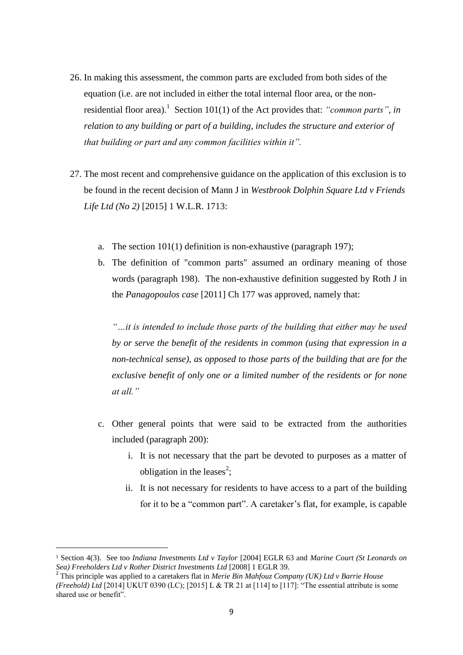- 26. In making this assessment, the common parts are excluded from both sides of the equation (i.e. are not included in either the total internal floor area, or the nonresidential floor area).<sup>1</sup> Section 101(1) of the Act provides that: *"common parts"*, in *relation to any building or part of a building, includes the structure and exterior of that building or part and any common facilities within it".*
- 27. The most recent and comprehensive guidance on the application of this exclusion is to be found in the recent decision of Mann J in *Westbrook Dolphin Square Ltd v Friends Life Ltd (No 2)* [2015] 1 W.L.R. 1713:
	- a. The section 101(1) definition is non-exhaustive (paragraph 197);
	- b. The definition of "common parts" assumed an ordinary meaning of those words (paragraph 198). The non-exhaustive definition suggested by Roth J in the *Panagopoulos case* [2011] Ch 177 was approved, namely that:

*"…it is intended to include those parts of the building that either may be used by or serve the benefit of the residents in common (using that expression in a non-technical sense), as opposed to those parts of the building that are for the exclusive benefit of only one or a limited number of the residents or for none at all."*

- c. Other general points that were said to be extracted from the authorities included (paragraph 200):
	- i. It is not necessary that the part be devoted to purposes as a matter of obligation in the leases<sup>2</sup>;
	- ii. It is not necessary for residents to have access to a part of the building for it to be a "common part". A caretaker's flat, for example, is capable

**.** 

<sup>1</sup> Section 4(3). See too *Indiana Investments Ltd v Taylor* [2004] EGLR 63 and *Marine Court (St Leonards on Sea) Freeholders Ltd v Rother District Investments Ltd* [2008] 1 EGLR 39.

<sup>2</sup> This principle was applied to a caretakers flat in *Merie Bin Mahfouz Company (UK) Ltd v Barrie House (Freehold) Ltd* [2014] UKUT 0390 (LC); [2015] L & TR 21 at [114] to [117]: "The essential attribute is some shared use or benefit".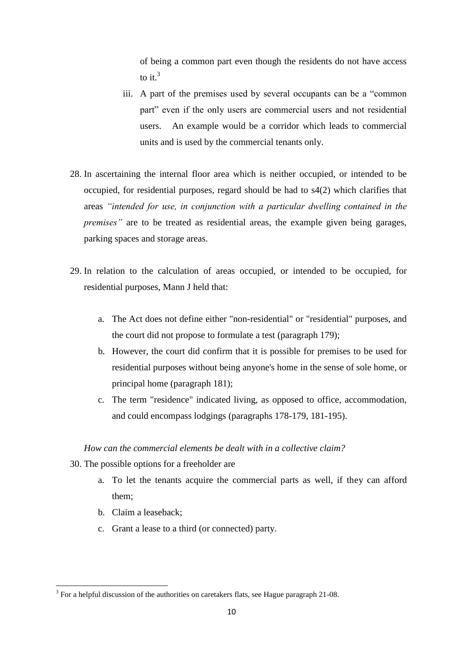of being a common part even though the residents do not have access to it.<sup>3</sup>

- iii. A part of the premises used by several occupants can be a "common part" even if the only users are commercial users and not residential users. An example would be a corridor which leads to commercial units and is used by the commercial tenants only.
- 28. In ascertaining the internal floor area which is neither occupied, or intended to be occupied, for residential purposes, regard should be had to s4(2) which clarifies that areas *"intended for use, in conjunction with a particular dwelling contained in the premises"* are to be treated as residential areas, the example given being garages, parking spaces and storage areas.
- 29. In relation to the calculation of areas occupied, or intended to be occupied, for residential purposes, Mann J held that:
	- a. The Act does not define either "non-residential" or "residential" purposes, and the court did not propose to formulate a test (paragraph 179);
	- b. However, the court did confirm that it is possible for premises to be used for residential purposes without being anyone's home in the sense of sole home, or principal home (paragraph 181);
	- c. The term "residence" indicated living, as opposed to office, accommodation, and could encompass lodgings (paragraphs 178-179, 181-195).

# *How can the commercial elements be dealt with in a collective claim?*

- 30. The possible options for a freeholder are
	- a. To let the tenants acquire the commercial parts as well, if they can afford them;
	- b. Claim a leaseback;
	- c. Grant a lease to a third (or connected) party.

<sup>&</sup>lt;sup>3</sup> For a helpful discussion of the authorities on caretakers flats, see Hague paragraph 21-08.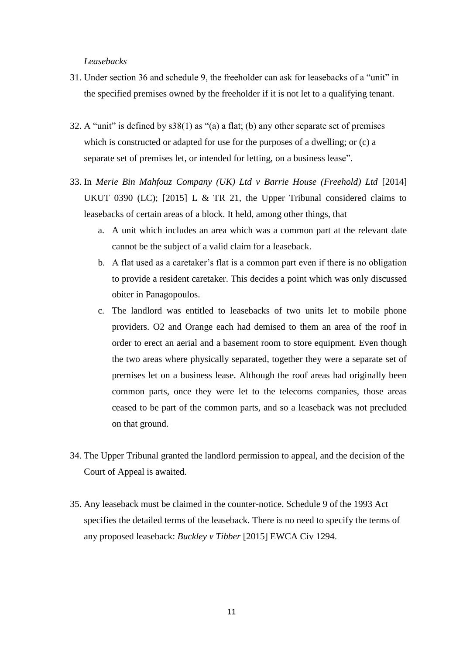#### *Leasebacks*

- 31. Under section 36 and schedule 9, the freeholder can ask for leasebacks of a "unit" in the specified premises owned by the freeholder if it is not let to a qualifying tenant.
- 32. A "unit" is defined by s38(1) as "(a) a flat; (b) any other separate set of premises which is constructed or adapted for use for the purposes of a dwelling; or (c) a separate set of premises let, or intended for letting, on a business lease".
- 33. In *Merie Bin Mahfouz Company (UK) Ltd v Barrie House (Freehold) Ltd* [2014] UKUT 0390 (LC); [2015] L & TR 21, the Upper Tribunal considered claims to leasebacks of certain areas of a block. It held, among other things, that
	- a. A unit which includes an area which was a common part at the relevant date cannot be the subject of a valid claim for a leaseback.
	- b. A flat used as a caretaker's flat is a common part even if there is no obligation to provide a resident caretaker. This decides a point which was only discussed obiter in Panagopoulos.
	- c. The landlord was entitled to leasebacks of two units let to mobile phone providers. O2 and Orange each had demised to them an area of the roof in order to erect an aerial and a basement room to store equipment. Even though the two areas where physically separated, together they were a separate set of premises let on a business lease. Although the roof areas had originally been common parts, once they were let to the telecoms companies, those areas ceased to be part of the common parts, and so a leaseback was not precluded on that ground.
- 34. The Upper Tribunal granted the landlord permission to appeal, and the decision of the Court of Appeal is awaited.
- 35. Any leaseback must be claimed in the counter-notice. Schedule 9 of the 1993 Act specifies the detailed terms of the leaseback. There is no need to specify the terms of any proposed leaseback: *Buckley v Tibber* [2015] EWCA Civ 1294.